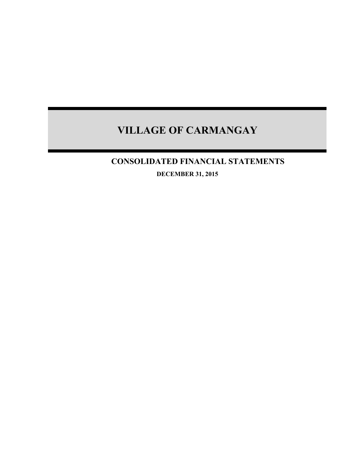# **CONSOLIDATED FINANCIAL STATEMENTS**

**DECEMBER 31, 2015**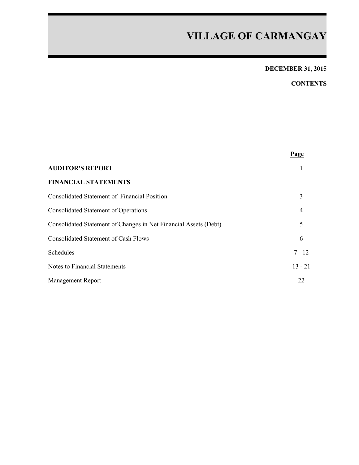# **DECEMBER 31, 2015**

## **CONTENTS**

|                                                                  | Page           |
|------------------------------------------------------------------|----------------|
| <b>AUDITOR'S REPORT</b>                                          |                |
| <b>FINANCIAL STATEMENTS</b>                                      |                |
| Consolidated Statement of Financial Position                     | 3              |
| <b>Consolidated Statement of Operations</b>                      | $\overline{4}$ |
| Consolidated Statement of Changes in Net Financial Assets (Debt) | 5              |
| <b>Consolidated Statement of Cash Flows</b>                      | 6              |
| Schedules                                                        | $7 - 12$       |
| Notes to Financial Statements                                    | $13 - 21$      |
| Management Report                                                | 22             |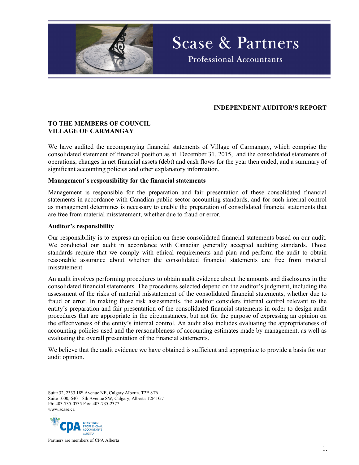

## **INDEPENDENT AUDITOR'S REPORT**

**Scase & Partners** 

**Professional Accountants** 

### **TO THE MEMBERS OF COUNCIL VILLAGE OF CARMANGAY**

We have audited the accompanying financial statements of Village of Carmangay, which comprise the consolidated statement of financial position as at December 31, 2015, and the consolidated statements of operations, changes in net financial assets (debt) and cash flows for the year then ended, and a summary of significant accounting policies and other explanatory information.

#### **Management's responsibility for the financial statements**

Management is responsible for the preparation and fair presentation of these consolidated financial statements in accordance with Canadian public sector accounting standards, and for such internal control as management determines is necessary to enable the preparation of consolidated financial statements that are free from material misstatement, whether due to fraud or error.

#### **Auditor's responsibility**

Our responsibility is to express an opinion on these consolidated financial statements based on our audit. We conducted our audit in accordance with Canadian generally accepted auditing standards. Those standards require that we comply with ethical requirements and plan and perform the audit to obtain reasonable assurance about whether the consolidated financial statements are free from material misstatement.

An audit involves performing procedures to obtain audit evidence about the amounts and disclosures in the consolidated financial statements. The procedures selected depend on the auditor's judgment, including the assessment of the risks of material misstatement of the consolidated financial statements, whether due to fraud or error. In making those risk assessments, the auditor considers internal control relevant to the entity's preparation and fair presentation of the consolidated financial statements in order to design audit procedures that are appropriate in the circumstances, but not for the purpose of expressing an opinion on the effectiveness of the entity's internal control. An audit also includes evaluating the appropriateness of accounting policies used and the reasonableness of accounting estimates made by management, as well as evaluating the overall presentation of the financial statements.

We believe that the audit evidence we have obtained is sufficient and appropriate to provide a basis for our audit opinion.

Suite 32, 2333 18th Avenue NE, Calgary Alberta. T2E 8T6 Suite 1000, 640 – 8th Avenue SW, Calgary, Alberta T2P 1G7 Ph: 403-735-0735 Fax: 403-735-2377 www.scase.ca



Partners are members of CPA Alberta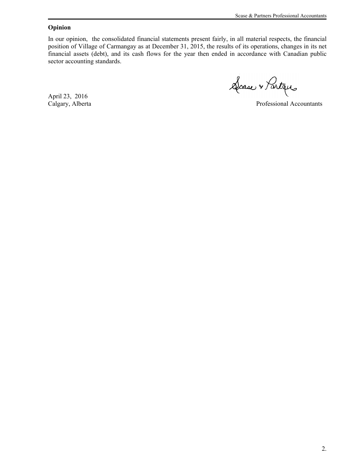### **Opinion**

In our opinion, the consolidated financial statements present fairly, in all material respects, the financial position of Village of Carmangay as at December 31, 2015, the results of its operations, changes in its net financial assets (debt), and its cash flows for the year then ended in accordance with Canadian public sector accounting standards.

Scase + Partaus

April 23, 2016

Professional Accountants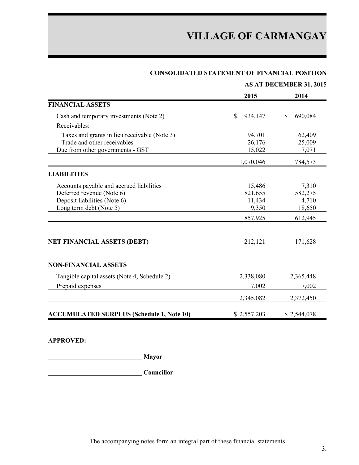| <b>CONSOLIDATED STATEMENT OF FINANCIAL POSITION</b> |  |  |  |
|-----------------------------------------------------|--|--|--|
|-----------------------------------------------------|--|--|--|

|                                                  |              | <b>AS AT DECEMBER 31, 2015</b> |
|--------------------------------------------------|--------------|--------------------------------|
|                                                  | 2015         | 2014                           |
| <b>FINANCIAL ASSETS</b>                          |              |                                |
| Cash and temporary investments (Note 2)          | S<br>934,147 | S<br>690,084                   |
| Receivables:                                     |              |                                |
| Taxes and grants in lieu receivable (Note 3)     | 94,701       | 62,409                         |
| Trade and other receivables                      | 26,176       | 25,009                         |
| Due from other governments - GST                 | 15,022       | 7,071                          |
|                                                  | 1,070,046    | 784,573                        |
| <b>LIABILITIES</b>                               |              |                                |
| Accounts payable and accrued liabilities         | 15,486       | 7,310                          |
| Deferred revenue (Note 6)                        | 821,655      | 582,275                        |
| Deposit liabilities (Note 6)                     | 11,434       | 4,710                          |
| Long term debt (Note 5)                          | 9,350        | 18,650                         |
|                                                  | 857,925      | 612,945                        |
| <b>NET FINANCIAL ASSETS (DEBT)</b>               | 212,121      | 171,628                        |
| <b>NON-FINANCIAL ASSETS</b>                      |              |                                |
| Tangible capital assets (Note 4, Schedule 2)     | 2,338,080    | 2,365,448                      |
| Prepaid expenses                                 | 7,002        | 7,002                          |
|                                                  | 2,345,082    | 2,372,450                      |
| <b>ACCUMULATED SURPLUS (Schedule 1, Note 10)</b> | \$2,557,203  | \$2,544,078                    |

**APPROVED:**

**\_\_\_\_\_\_\_\_\_\_\_\_\_\_\_\_\_\_\_\_\_\_\_\_\_\_\_\_\_ Mayor**

**\_\_\_\_\_\_\_\_\_\_\_\_\_\_\_\_\_\_\_\_\_\_\_\_\_\_\_\_\_ Councillor**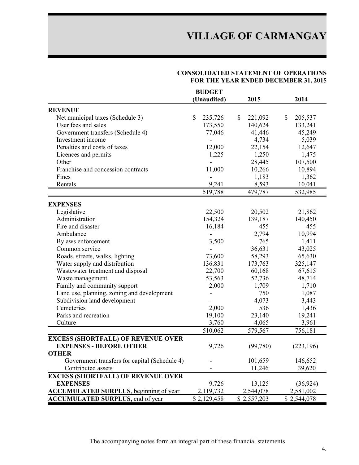### **CONSOLIDATED STATEMENT OF OPERATIONS FOR THE YEAR ENDED DECEMBER 31, 2015**

|                                                | <b>BUDGET</b> |               |               |
|------------------------------------------------|---------------|---------------|---------------|
|                                                | (Unaudited)   | 2015          | 2014          |
| <b>REVENUE</b>                                 |               |               |               |
| Net municipal taxes (Schedule 3)               | \$<br>235,726 | 221,092<br>\$ | \$<br>205,537 |
| User fees and sales                            | 173,550       | 140,624       | 133,241       |
| Government transfers (Schedule 4)              | 77,046        | 41,446        | 45,249        |
| Investment income                              |               | 4,734         | 5,039         |
| Penalties and costs of taxes                   | 12,000        | 22,154        | 12,647        |
| Licences and permits                           | 1,225         | 1,250         | 1,475         |
| Other                                          |               | 28,445        | 107,500       |
| Franchise and concession contracts             | 11,000        | 10,266        | 10,894        |
| Fines                                          |               | 1,183         | 1,362         |
| Rentals                                        | 9,241         | 8,593         | 10,041        |
|                                                | 519,788       | 479,787       | 532,985       |
|                                                |               |               |               |
| <b>EXPENSES</b>                                |               |               |               |
| Legislative                                    | 22,500        | 20,502        | 21,862        |
| Administration                                 | 154,324       | 139,187       | 140,450       |
| Fire and disaster                              | 16,184        | 455           | 455           |
| Ambulance                                      |               | 2,794         | 10,994        |
| Bylaws enforcement                             | 3,500         | 765           | 1,411         |
| Common service                                 |               | 36,631        | 43,025        |
| Roads, streets, walks, lighting                | 73,600        | 58,293        | 65,630        |
| Water supply and distribution                  | 136,831       | 173,763       | 325,147       |
| Wastewater treatment and disposal              | 22,700        | 60,168        | 67,615        |
| Waste management                               | 53,563        | 52,736        | 48,714        |
| Family and community support                   | 2,000         | 1,709         | 1,710         |
| Land use, planning, zoning and development     |               | 750           | 1,087         |
| Subdivision land development                   |               | 4,073         | 3,443         |
| Cemeteries                                     | 2,000         | 536           | 1,436         |
| Parks and recreation                           | 19,100        | 23,140        | 19,241        |
| Culture                                        | 3,760         | 4,065         | 3,961         |
|                                                | 510,062       | 579,567       | 756,181       |
| <b>EXCESS (SHORTFALL) OF REVENUE OVER</b>      |               |               |               |
| <b>EXPENSES - BEFORE OTHER</b>                 | 9,726         | (99,780)      | (223, 196)    |
| <b>OTHER</b>                                   |               |               |               |
| Government transfers for capital (Schedule 4)  |               | 101,659       | 146,652       |
| Contributed assets                             |               | 11,246        | 39,620        |
| <b>EXCESS (SHORTFALL) OF REVENUE OVER</b>      |               |               |               |
| <b>EXPENSES</b>                                | 9,726         | 13,125        | (36, 924)     |
| <b>ACCUMULATED SURPLUS</b> , beginning of year | 2,119,732     | 2,544,078     | 2,581,002     |
| <b>ACCUMULATED SURPLUS, end of year</b>        | \$2,129,458   | \$2,557,203   | \$2,544,078   |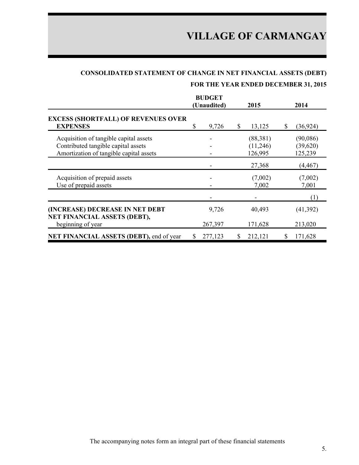# **CONSOLIDATED STATEMENT OF CHANGE IN NET FINANCIAL ASSETS (DEBT)**

## **FOR THE YEAR ENDED DECEMBER 31, 2015**

|                                                                                                                          |   | <b>BUDGET</b><br>(Unaudited) |   | 2015                             | 2014                            |
|--------------------------------------------------------------------------------------------------------------------------|---|------------------------------|---|----------------------------------|---------------------------------|
| <b>EXCESS (SHORTFALL) OF REVENUES OVER</b><br><b>EXPENSES</b>                                                            | S | 9,726                        | S | 13,125                           | \$<br>(36, 924)                 |
| Acquisition of tangible capital assets<br>Contributed tangible capital assets<br>Amortization of tangible capital assets |   |                              |   | (88, 381)<br>(11,246)<br>126,995 | (90,086)<br>(39,620)<br>125,239 |
|                                                                                                                          |   |                              |   | 27,368                           | (4,467)                         |
| Acquisition of prepaid assets<br>Use of prepaid assets                                                                   |   |                              |   | (7,002)<br>7,002                 | (7,002)<br>7,001                |
|                                                                                                                          |   |                              |   |                                  | (1)                             |
| (INCREASE) DECREASE IN NET DEBT<br>NET FINANCIAL ASSETS (DEBT),                                                          |   | 9,726                        |   | 40,493                           | (41,392)                        |
| beginning of year                                                                                                        |   | 267,397                      |   | 171,628                          | 213,020                         |
| NET FINANCIAL ASSETS (DEBT), end of year                                                                                 | S | 277,123                      | S | 212,121                          | 171,628                         |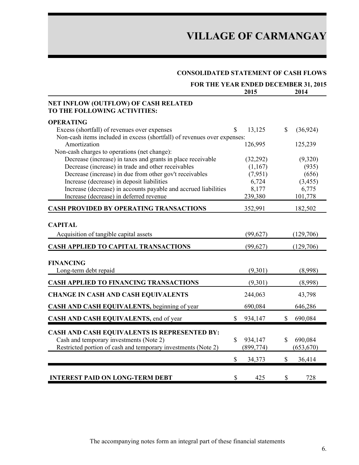## **CONSOLIDATED STATEMENT OF CASH FLOWS**

|                                                                                                                   | FOR THE YEAR ENDED DECEMBER 31, 2015 |                           |
|-------------------------------------------------------------------------------------------------------------------|--------------------------------------|---------------------------|
|                                                                                                                   | 2015                                 | 2014                      |
| NET INFLOW (OUTFLOW) OF CASH RELATED<br>TO THE FOLLOWING ACTIVITIES:                                              |                                      |                           |
| <b>OPERATING</b>                                                                                                  |                                      |                           |
| Excess (shortfall) of revenues over expenses                                                                      | 13,125<br>S                          | (36, 924)<br>$\mathbb{S}$ |
| Non-cash items included in excess (shortfall) of revenues over expenses:                                          |                                      |                           |
| Amortization                                                                                                      | 126,995                              | 125,239                   |
| Non-cash charges to operations (net change):                                                                      |                                      |                           |
| Decrease (increase) in taxes and grants in place receivable<br>Decrease (increase) in trade and other receivables | (32, 292)                            | (9,320)                   |
| Decrease (increase) in due from other gov't receivables                                                           | (1,167)<br>(7,951)                   | (935)<br>(656)            |
| Increase (decrease) in deposit liabilities                                                                        | 6,724                                | (3, 455)                  |
| Increase (decrease) in accounts payable and accrued liabilities                                                   | 8,177                                | 6,775                     |
| Increase (decrease) in deferred revenue                                                                           | 239,380                              | 101,778                   |
| <b>CASH PROVIDED BY OPERATING TRANSACTIONS</b>                                                                    | 352,991                              | 182,502                   |
| <b>CAPITAL</b>                                                                                                    |                                      |                           |
| Acquisition of tangible capital assets                                                                            | (99,627)                             | (129,706)                 |
| <b>CASH APPLIED TO CAPITAL TRANSACTIONS</b>                                                                       | (99,627)                             | (129,706)                 |
| <b>FINANCING</b>                                                                                                  |                                      |                           |
| Long-term debt repaid                                                                                             | (9,301)                              | (8,998)                   |
| <b>CASH APPLIED TO FINANCING TRANSACTIONS</b>                                                                     | (9,301)                              | (8,998)                   |
| <b>CHANGE IN CASH AND CASH EQUIVALENTS</b>                                                                        | 244,063                              | 43,798                    |
| CASH AND CASH EQUIVALENTS, beginning of year                                                                      | 690,084                              | 646,286                   |
| CASH AND CASH EQUIVALENTS, end of year                                                                            | \$<br>934,147                        | 690,084<br>$\mathbb{S}$   |
| CASH AND CASH EQUIVALENTS IS REPRESENTED BY:                                                                      |                                      |                           |
| Cash and temporary investments (Note 2)                                                                           | $\mathbf S$<br>934,147               | $\mathbf S$<br>690,084    |
| Restricted portion of cash and temporary investments (Note 2)                                                     | (899, 774)                           | (653, 670)                |
|                                                                                                                   | \$<br>34,373                         | \$<br>36,414              |
|                                                                                                                   |                                      |                           |
| <b>INTEREST PAID ON LONG-TERM DEBT</b>                                                                            | \$<br>425                            | \$<br>728                 |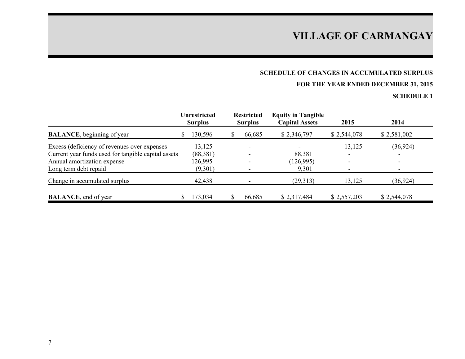# **SCHEDULE OF CHANGES IN ACCUMULATED SURPLUS**

# **FOR THE YEAR ENDED DECEMBER 31, 2015**

|                                                     | <b>Unrestricted</b><br><b>Surplus</b> | <b>Restricted</b><br><b>Surplus</b> | <b>Equity in Tangible</b><br><b>Capital Assets</b> | 2015        | 2014        |
|-----------------------------------------------------|---------------------------------------|-------------------------------------|----------------------------------------------------|-------------|-------------|
| <b>BALANCE</b> , beginning of year                  | 130,596                               | 66,685                              | \$2,346,797                                        | \$2,544,078 | \$2,581,002 |
| Excess (deficiency of revenues over expenses        | 13,125                                |                                     |                                                    | 13,125      | (36, 924)   |
| Current year funds used for tangible capital assets | (88, 381)                             |                                     | 88,381                                             | ۰           |             |
| Annual amortization expense                         | 126,995                               |                                     | (126,995)                                          | ۰           |             |
| Long term debt repaid                               | (9,301)                               |                                     | 9,301                                              |             |             |
| Change in accumulated surplus                       | 42,438                                |                                     | (29, 313)                                          | 13,125      | (36, 924)   |
| <b>BALANCE</b> , end of year                        | 173,034                               | 66,685                              | \$2,317,484                                        | \$2,557,203 | \$2,544,078 |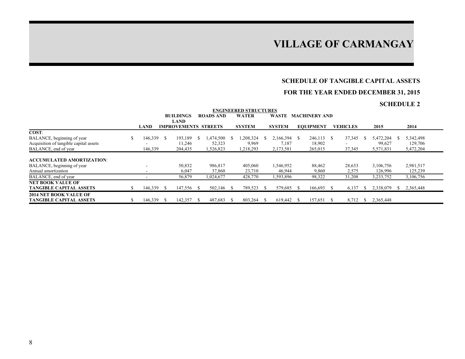### **SCHEDULE OF TANGIBLE CAPITAL ASSETS**

## **FOR THE YEAR ENDED DECEMBER 31, 2015**

| <b>ENGINEERED STRUCTURES</b>           |               |                          |  |                             |    |                  |  |               |      |               |  |                      |  |                 |               |           |               |           |  |
|----------------------------------------|---------------|--------------------------|--|-----------------------------|----|------------------|--|---------------|------|---------------|--|----------------------|--|-----------------|---------------|-----------|---------------|-----------|--|
|                                        |               |                          |  | <b>BUILDINGS</b>            |    | <b>ROADS AND</b> |  | <b>WATER</b>  |      | WASTE         |  | <b>MACHINERY AND</b> |  |                 |               |           |               |           |  |
|                                        |               |                          |  | <b>LAND</b>                 |    |                  |  |               |      |               |  |                      |  |                 |               |           |               |           |  |
|                                        |               | <b>LAND</b>              |  | <b>IMPROVEMENTS STREETS</b> |    |                  |  | <b>SYSTEM</b> |      | <b>SYSTEM</b> |  | <b>EOUIPMENT</b>     |  | <b>VEHICLES</b> |               | 2015      |               | 2014      |  |
| COST:                                  |               |                          |  |                             |    |                  |  |               |      |               |  |                      |  |                 |               |           |               |           |  |
| BALANCE, beginning of year             | <sup>\$</sup> | 146,339 \$               |  | 193,189                     | -S | .474,500         |  | ,208,324      |      | 2,166,394 \$  |  | 246,113 \$           |  | 37,345          |               | 5,472,204 |               | 5,342,498 |  |
| Acquisition of tangible capital assets |               |                          |  | 11,246                      |    | 52,323           |  | 9,969         |      | 7,187         |  | 18,902               |  |                 |               | 99,627    |               | 129,706   |  |
| BALANCE, end of year                   |               | 146,339                  |  | 204,435                     |    | 1,526,823        |  | 1,218,293     |      | 2,173,581     |  | 265,015              |  | 37,345          |               | 5,571,831 |               | 5,472,204 |  |
|                                        |               |                          |  |                             |    |                  |  |               |      |               |  |                      |  |                 |               |           |               |           |  |
| <b>ACCUMULATED AMORTIZATION:</b>       |               |                          |  |                             |    |                  |  |               |      |               |  |                      |  |                 |               |           |               |           |  |
| BALANCE, beginning of year             |               |                          |  | 50,832                      |    | 986,817          |  | 405,060       |      | 1,546,952     |  | 88,462               |  | 28,633          |               | 3,106,756 |               | 2,981,517 |  |
| Annual amortization                    |               | $\overline{\phantom{0}}$ |  | 6,047                       |    | 37,860           |  | 23,710        |      | 46,944        |  | 9,860                |  | 2,575           |               | 126,996   |               | 125,239   |  |
| BALANCE, end of year                   |               |                          |  | 56,879                      |    | 1,024,677        |  | 428,770       |      | 1,593,896     |  | 98,322               |  | 31,208          |               | 3,233,752 |               | 3,106,756 |  |
| <b>NET BOOK VALUE OF</b>               |               |                          |  |                             |    |                  |  |               |      |               |  |                      |  |                 |               |           |               |           |  |
| <b>TANGIBLE CAPITAL ASSETS</b>         |               | $146,339$ \$             |  | 147,556 \$                  |    | 502,146 \$       |  | 789,523       | - \$ | 579,685 \$    |  | $166,693$ \$         |  | 6,137           | У.            | 2,338,079 | $\mathcal{L}$ | 2,365,448 |  |
| <b>2014 NET BOOK VALUE OF</b>          |               |                          |  |                             |    |                  |  |               |      |               |  |                      |  |                 |               |           |               |           |  |
| <b>TANGIBLE CAPITAL ASSETS</b>         |               | 146,339 \$               |  | 142,357                     |    | 487,683          |  | 803,264 \$    |      | 619.442 \$    |  | 157,651 \$           |  | 8,712           | $\mathcal{L}$ | 2,365,448 |               |           |  |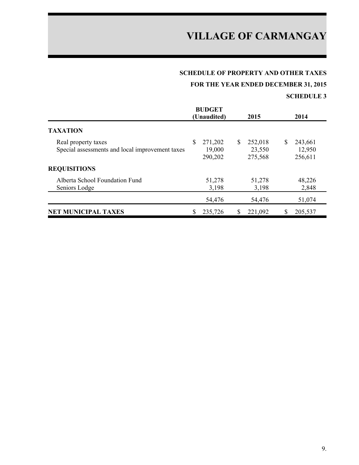# **SCHEDULE OF PROPERTY AND OTHER TAXES**

**FOR THE YEAR ENDED DECEMBER 31, 2015**

|                                                                        |   | <b>BUDGET</b><br>(Unaudited) | 2015                               |   | 2014                         |
|------------------------------------------------------------------------|---|------------------------------|------------------------------------|---|------------------------------|
| <b>TAXATION</b>                                                        |   |                              |                                    |   |                              |
| Real property taxes<br>Special assessments and local improvement taxes | S | 271,202<br>19,000<br>290,202 | \$<br>252,018<br>23,550<br>275,568 | S | 243,661<br>12,950<br>256,611 |
| <b>REQUISITIONS</b>                                                    |   |                              |                                    |   |                              |
| Alberta School Foundation Fund<br>Seniors Lodge                        |   | 51,278<br>3,198              | 51,278<br>3,198                    |   | 48,226<br>2,848              |
|                                                                        |   | 54,476                       | 54,476                             |   | 51,074                       |
| <b>NET MUNICIPAL TAXES</b>                                             |   | 235,726                      | 221,092                            |   | 205,537                      |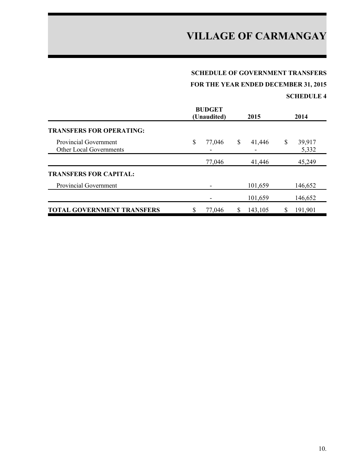### **SCHEDULE OF GOVERNMENT TRANSFERS**

**FOR THE YEAR ENDED DECEMBER 31, 2015**

|                                                                | <b>BUDGET</b><br>(Unaudited) |    | 2015    |    | 2014            |
|----------------------------------------------------------------|------------------------------|----|---------|----|-----------------|
| <b>TRANSFERS FOR OPERATING:</b>                                |                              |    |         |    |                 |
| <b>Provincial Government</b><br><b>Other Local Governments</b> | \$<br>77,046                 | \$ | 41,446  | \$ | 39,917<br>5,332 |
|                                                                | 77,046                       |    | 41,446  |    | 45,249          |
| <b>TRANSFERS FOR CAPITAL:</b>                                  |                              |    |         |    |                 |
| <b>Provincial Government</b>                                   |                              |    | 101,659 |    | 146,652         |
|                                                                |                              |    | 101,659 |    | 146,652         |
| <b>TOTAL GOVERNMENT TRANSFERS</b>                              | 77,046                       | S  | 143,105 | S  | 191,901         |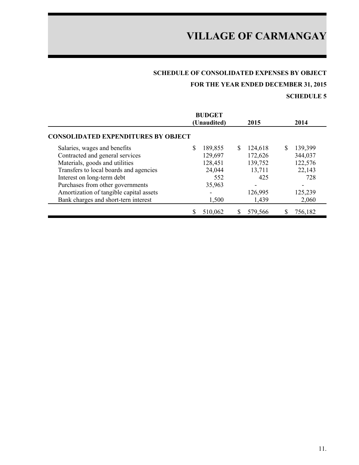# **SCHEDULE OF CONSOLIDATED EXPENSES BY OBJECT**

**FOR THE YEAR ENDED DECEMBER 31, 2015**

|                                            | <b>BUDGET</b><br>(Unaudited) | 2015         | 2014         |
|--------------------------------------------|------------------------------|--------------|--------------|
| <b>CONSOLIDATED EXPENDITURES BY OBJECT</b> |                              |              |              |
| Salaries, wages and benefits               | S<br>189,855                 | S<br>124,618 | S<br>139,399 |
| Contracted and general services            | 129,697                      | 172,626      | 344,037      |
| Materials, goods and utilities             | 128,451                      | 139,752      | 122,576      |
| Transfers to local boards and agencies     | 24,044                       | 13,711       | 22,143       |
| Interest on long-term debt                 | 552                          | 425          | 728          |
| Purchases from other governments           | 35,963                       |              |              |
| Amortization of tangible capital assets    |                              | 126,995      | 125,239      |
| Bank charges and short-tern interest       | 1,500                        | 1,439        | 2,060        |
|                                            | 510,062                      | 579,566      | 756,182      |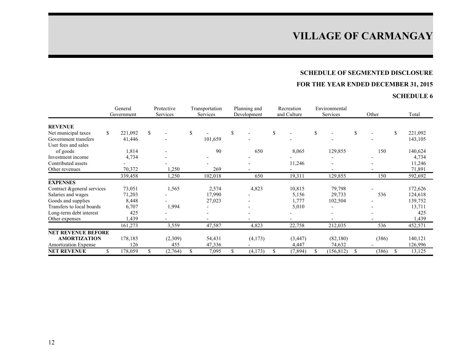# **SCHEDULE OF SEGMENTED DISCLOSURE**

# **FOR THE YEAR ENDED DECEMBER 31, 2015**

|                                       |     | General<br>Government |    | Protective<br>Services | Transportation<br>Services |         | Planning and<br>Development | Recreation<br>and Culture |    | Environmental<br>Services | Other |       |    | Total   |
|---------------------------------------|-----|-----------------------|----|------------------------|----------------------------|---------|-----------------------------|---------------------------|----|---------------------------|-------|-------|----|---------|
|                                       |     |                       |    |                        |                            |         |                             |                           |    |                           |       |       |    |         |
| <b>REVENUE</b><br>Net municipal taxes | \$. | 221,092               | S. |                        |                            |         | \$                          | \$                        | \$ |                           | \$    |       | \$ | 221,092 |
| Government transfers                  |     | 41,446                |    |                        |                            | 101,659 |                             |                           |    |                           |       |       |    | 143,105 |
| User fees and sales                   |     |                       |    |                        |                            |         |                             |                           |    |                           |       |       |    |         |
|                                       |     |                       |    |                        |                            | 90      |                             |                           |    |                           |       |       |    |         |
| of goods                              |     | 1,814                 |    |                        |                            |         | 650                         | 8,065                     |    | 129,855                   |       | 150   |    | 140,624 |
| Investment income                     |     | 4,734                 |    |                        |                            |         |                             |                           |    |                           |       |       |    | 4,734   |
| Contributed assets                    |     |                       |    |                        |                            |         |                             | 11,246                    |    |                           |       |       |    | 11,246  |
| Other revenues                        |     | 70,372                |    | 1,250                  |                            | 269     |                             |                           |    |                           |       |       |    | 71,891  |
|                                       |     | 339,458               |    | 1,250                  |                            | 102,018 | 650                         | 19,311                    |    | 129,855                   |       | 150   |    | 592,692 |
| <b>EXPENSES</b>                       |     |                       |    |                        |                            |         |                             |                           |    |                           |       |       |    |         |
| Contract & general services           |     | 73,051                |    | 1,565                  |                            | 2,574   | 4,823                       | 10,815                    |    | 79,798                    |       |       |    | 172,626 |
| Salaries and wages                    |     | 71,203                |    |                        |                            | 17,990  |                             | 5,156                     |    | 29,733                    |       | 536   |    | 124,618 |
| Goods and supplies                    |     | 8,448                 |    |                        |                            | 27,023  |                             | 1,777                     |    | 102,504                   |       |       |    | 139,752 |
| Transfers to local boards             |     | 6,707                 |    | 1,994                  |                            |         |                             | 5,010                     |    |                           |       |       |    | 13,711  |
| Long-term debt interest               |     | 425                   |    |                        |                            |         |                             |                           |    |                           |       |       |    | 425     |
| Other expenses                        |     | ,439                  |    |                        |                            |         |                             |                           |    |                           |       |       |    | 1,439   |
|                                       |     | 161,273               |    | 3,559                  |                            | 47,587  | 4,823                       | 22,758                    |    | 212,035                   |       | 536   |    | 452,571 |
| <b>NET REVENUE BEFORE</b>             |     |                       |    |                        |                            |         |                             |                           |    |                           |       |       |    |         |
| <b>AMORTIZATION</b>                   |     | 178,185               |    | (2,309)                |                            | 54,431  | (4,173)                     | (3, 447)                  |    | (82,180)                  |       | (386) |    | 140,121 |
| <b>Amortization Expense</b>           |     | 126                   |    | 455                    |                            | 47,336  |                             | 4,447                     |    | 74,632                    |       |       |    | 126,996 |
| <b>NET REVENUE</b>                    | \$  | 178,059               | \$ | (2,764)                | S.                         | 7,095   | \$<br>(4,173)               | \$<br>(7, 894)            | S. | (156, 812)                | S.    | (386) | S  | 13,125  |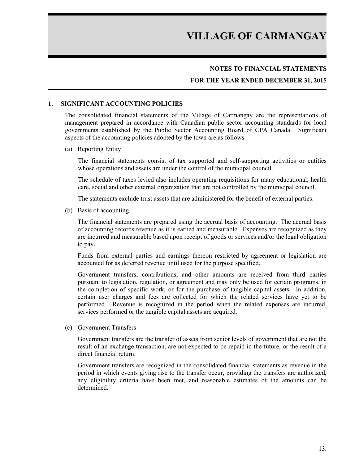### **NOTES TO FINANCIAL STATEMENTS**

### **FOR THE YEAR ENDED DECEMBER 31, 2015**

#### **1. SIGNIFICANT ACCOUNTING POLICIES**

The consolidated financial statements of the Village of Carmangay are the representations of management prepared in accordance with Canadian public sector accounting standards for local governments established by the Public Sector Accounting Board of CPA Canada. Significant aspects of the accounting policies adopted by the town are as follows:

#### (a) Reporting Entity

The financial statements consist of tax supported and self-supporting activities or entities whose operations and assets are under the control of the municipal council.

The schedule of taxes levied also includes operating requisitions for many educational, health care, social and other external organization that are not controlled by the municipal council.

The statements exclude trust assets that are administered for the benefit of external parties.

(b) Basis of accounting

The financial statements are prepared using the accrual basis of accounting. The accrual basis of accounting records revenue as it is earned and measurable. Expenses are recognized as they are incurred and measurable based upon receipt of goods or services and/or the legal obligation to pay.

Funds from external parties and earnings thereon restricted by agreement or legislation are accounted for as deferred revenue until used for the purpose specified,

Government transfers, contributions, and other amounts are received from third parties pursuant to legislation, regulation, or agreement and may only be used for certain programs, in the completion of specific work, or for the purchase of tangible capital assets. In addition, certain user charges and fees are collected for which the related services have yet to be performed. Revenue is recognized in the period when the related expenses are incurred, services performed or the tangible capital assets are acquired.

(c) Government Transfers

Government transfers are the transfer of assets from senior levels of government that are not the result of an exchange transaction, are not expected to be repaid in the future, or the result of a direct financial return.

Government transfers are recognized in the consolidated financial statements as revenue in the period in which events giving rise to the transfer occur, providing the transfers are authorized, any eligibility criteria have been met, and reasonable estimates of the amounts can be determined.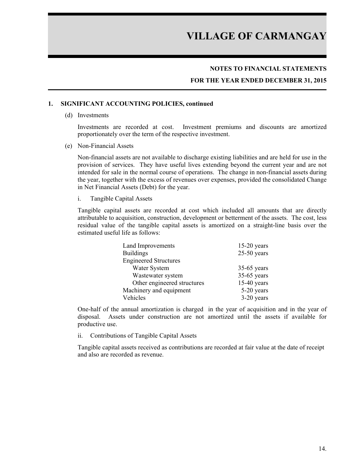## **NOTES TO FINANCIAL STATEMENTS**

### **FOR THE YEAR ENDED DECEMBER 31, 2015**

#### **1. SIGNIFICANT ACCOUNTING POLICIES, continued**

(d) Investments

Investments are recorded at cost. Investment premiums and discounts are amortized proportionately over the term of the respective investment.

(e) Non-Financial Assets

Non-financial assets are not available to discharge existing liabilities and are held for use in the provision of services. They have useful lives extending beyond the current year and are not intended for sale in the normal course of operations. The change in non-financial assets during the year, together with the excess of revenues over expenses, provided the consolidated Change in Net Financial Assets (Debt) for the year.

i. Tangible Capital Assets

Tangible capital assets are recorded at cost which included all amounts that are directly attributable to acquisition, construction, development or betterment of the assets. The cost, less residual value of the tangible capital assets is amortized on a straight-line basis over the estimated useful life as follows:

| Land Improvements            | $15-20$ years |
|------------------------------|---------------|
| <b>Buildings</b>             | $25-50$ years |
| <b>Engineered Structures</b> |               |
| Water System                 | $35-65$ years |
| Wastewater system            | $35-65$ years |
| Other engineered structures  | $15-40$ years |
| Machinery and equipment      | 5-20 years    |
| Vehicles                     | $3-20$ years  |

One-half of the annual amortization is charged in the year of acquisition and in the year of disposal. Assets under construction are not amortized until the assets if available for productive use.

ii. Contributions of Tangible Capital Assets

Tangible capital assets received as contributions are recorded at fair value at the date of receipt and also are recorded as revenue.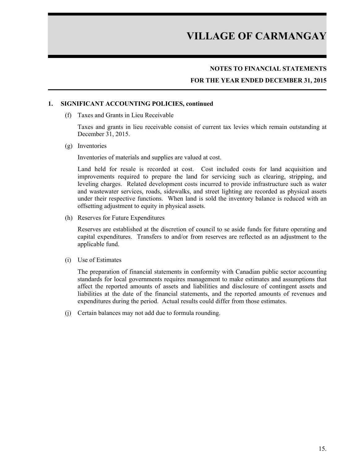# **NOTES TO FINANCIAL STATEMENTS**

## **FOR THE YEAR ENDED DECEMBER 31, 2015**

#### **1. SIGNIFICANT ACCOUNTING POLICIES, continued**

(f) Taxes and Grants in Lieu Receivable

Taxes and grants in lieu receivable consist of current tax levies which remain outstanding at December 31, 2015.

(g) Inventories

Inventories of materials and supplies are valued at cost.

Land held for resale is recorded at cost. Cost included costs for land acquisition and improvements required to prepare the land for servicing such as clearing, stripping, and leveling charges. Related development costs incurred to provide infrastructure such as water and wastewater services, roads, sidewalks, and street lighting are recorded as physical assets under their respective functions. When land is sold the inventory balance is reduced with an offsetting adjustment to equity in physical assets.

(h) Reserves for Future Expenditures

Reserves are established at the discretion of council to se aside funds for future operating and capital expenditures. Transfers to and/or from reserves are reflected as an adjustment to the applicable fund.

(i) Use of Estimates

The preparation of financial statements in conformity with Canadian public sector accounting standards for local governments requires management to make estimates and assumptions that affect the reported amounts of assets and liabilities and disclosure of contingent assets and liabilities at the date of the financial statements, and the reported amounts of revenues and expenditures during the period. Actual results could differ from those estimates.

(j) Certain balances may not add due to formula rounding.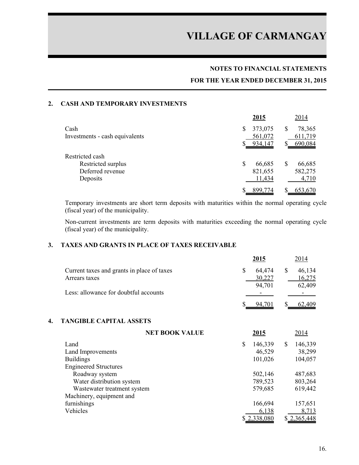### **NOTES TO FINANCIAL STATEMENTS**

### **FOR THE YEAR ENDED DECEMBER 31, 2015**

### **2. CASH AND TEMPORARY INVESTMENTS**

|                                | 2015          | 2014        |
|--------------------------------|---------------|-------------|
| Cash                           | 373,075<br>\$ | 78,365<br>S |
| Investments - cash equivalents | 561,072       | 611,719     |
|                                | 934,147<br>S  | 690,084     |
| Restricted cash                |               |             |
| Restricted surplus             | \$<br>66,685  | 66,685      |
| Deferred revenue               | 821,655       | 582,275     |
| Deposits                       | 11,434        | 4,710       |
|                                | 899,774       | 653,670     |

Temporary investments are short term deposits with maturities within the normal operating cycle (fiscal year) of the municipality.

Non-current investments are term deposits with maturities exceeding the normal operating cycle (fiscal year) of the municipality.

### **3. TAXES AND GRANTS IN PLACE OF TAXES RECEIVABLE**

|                                            | 2015   | 2014   |
|--------------------------------------------|--------|--------|
| Current taxes and grants in place of taxes | 64.474 | 46,134 |
| Arrears taxes                              | 30,227 | 16,275 |
|                                            | 94,701 | 62,409 |
| Less: allowance for doubtful accounts      | -      |        |
|                                            | 94.701 | 62.409 |

#### **4. TANGIBLE CAPITAL ASSETS**

| <b>NET BOOK VALUE</b>        | 2015          | 2014          |
|------------------------------|---------------|---------------|
| Land                         | \$<br>146,339 | \$<br>146,339 |
| Land Improvements            | 46,529        | 38,299        |
| <b>Buildings</b>             | 101,026       | 104,057       |
| <b>Engineered Structures</b> |               |               |
| Roadway system               | 502,146       | 487,683       |
| Water distribution system    | 789,523       | 803,264       |
| Wastewater treatment system  | 579,685       | 619,442       |
| Machinery, equipment and     |               |               |
| furnishings                  | 166,694       | 157,651       |
| Vehicles                     | 6,138         | 8,713         |
|                              | \$2,338,080   | \$2,365,448   |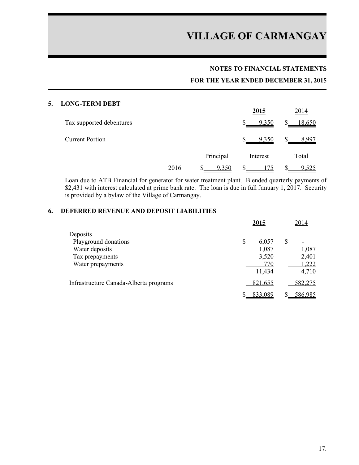### **NOTES TO FINANCIAL STATEMENTS**

## **FOR THE YEAR ENDED DECEMBER 31, 2015**

#### **5. LONG-TERM DEBT**

|                          |      |            | <u>2015</u>            | 2014          |
|--------------------------|------|------------|------------------------|---------------|
| Tax supported debentures |      |            | \$<br>9,350            | <u>18,650</u> |
| <b>Current Portion</b>   |      |            | <sup>\$</sup><br>9,350 | 8,997         |
|                          |      | Principal  | Interest               | Total         |
|                          | 2016 | 9,350<br>D | S                      | 9,525<br>ъ    |

Loan due to ATB Financial for generator for water treatment plant. Blended quarterly payments of \$2,431 with interest calculated at prime bank rate. The loan is due in full January 1, 2017. Security is provided by a bylaw of the Village of Carmangay.

## **6. DEFERRED REVENUE AND DEPOSIT LIABILITIES**

|                                        | 2015 |         | 2014                 |
|----------------------------------------|------|---------|----------------------|
| Deposits                               |      |         |                      |
| Playground donations                   | \$   | 6,057   | \$<br>$\blacksquare$ |
| Water deposits                         |      | 1,087   | 1,087                |
| Tax prepayments                        |      | 3,520   | 2,401                |
| Water prepayments                      |      | 770     | 1,222                |
|                                        |      | 11,434  | 4,710                |
| Infrastructure Canada-Alberta programs |      | 821,655 | 582,275              |
|                                        |      | 833,089 | 586,985              |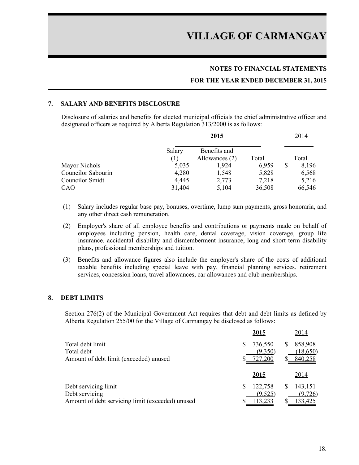## **NOTES TO FINANCIAL STATEMENTS**

#### **FOR THE YEAR ENDED DECEMBER 31, 2015**

### **7. SALARY AND BENEFITS DISCLOSURE**

Disclosure of salaries and benefits for elected municipal officials the chief administrative officer and designated officers as required by Alberta Regulation 313/2000 is as follows:

|                    | 2015   |                | 2014   |    |        |
|--------------------|--------|----------------|--------|----|--------|
|                    | Salary | Benefits and   |        |    |        |
|                    |        | Allowances (2) | Total  |    | Total  |
| Mayor Nichols      | 5,035  | 1,924          | 6,959  | \$ | 8,196  |
| Councilor Sabourin | 4,280  | 1,548          | 5,828  |    | 6,568  |
| Councilor Smidt    | 4,445  | 2,773          | 7,218  |    | 5,216  |
| CAO                | 31,404 | 5,104          | 36,508 |    | 66,546 |

- (1) Salary includes regular base pay, bonuses, overtime, lump sum payments, gross honoraria, and any other direct cash remuneration.
- (2) Employer's share of all employee benefits and contributions or payments made on behalf of employees including pension, health care, dental coverage, vision coverage, group life insurance. accidental disability and dismemberment insurance, long and short term disability plans, professional memberships and tuition.
- (3) Benefits and allowance figures also include the employer's share of the costs of additional taxable benefits including special leave with pay, financial planning services. retirement services, concession loans, travel allowances, car allowances and club memberships.

#### **8. DEBT LIMITS**

Section 276(2) of the Municipal Government Act requires that debt and debt limits as defined by Alberta Regulation 255/00 for the Village of Carmangay be disclosed as follows:

|                                                  | 2015    | 2014         |
|--------------------------------------------------|---------|--------------|
| Total debt limit                                 | 736,550 | 858,908      |
| Total debt                                       | (9,350) | (18,650)     |
| Amount of debt limit (exceeded) unused           | 727,200 | 840,258      |
|                                                  | 2015    | <u>2014</u>  |
| Debt servicing limit                             | 122,758 | 143,151<br>S |
| Debt servicing                                   | (9,525) | (9, 726)     |
| Amount of debt servicing limit (exceeded) unused | 113,233 | 133,425      |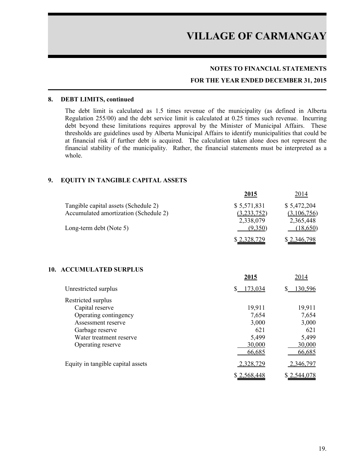### **NOTES TO FINANCIAL STATEMENTS**

### **FOR THE YEAR ENDED DECEMBER 31, 2015**

#### **8. DEBT LIMITS, continued**

The debt limit is calculated as 1.5 times revenue of the municipality (as defined in Alberta Regulation 255/00) and the debt service limit is calculated at 0.25 times such revenue. Incurring debt beyond these limitations requires approval by the Minister of Municipal Affairs. These thresholds are guidelines used by Alberta Municipal Affairs to identify municipalities that could be at financial risk if further debt is acquired. The calculation taken alone does not represent the financial stability of the municipality. Rather, the financial statements must be interpreted as a whole.

#### **9. EQUITY IN TANGIBLE CAPITAL ASSETS**

|                                                                               | <u>2015</u>                             | 2014                                    |
|-------------------------------------------------------------------------------|-----------------------------------------|-----------------------------------------|
| Tangible capital assets (Schedule 2)<br>Accumulated amortization (Schedule 2) | \$5,571,831<br>(3,233,752)<br>2,338,079 | \$5,472,204<br>(3,106,756)<br>2,365,448 |
| Long-term debt (Note 5)                                                       | (9,350)                                 | (18, 650)                               |
|                                                                               | \$2,328,729                             | \$2,346,798                             |
| <b>ACCUMULATED SURPLUS</b><br>10.                                             | 2015                                    | 2014                                    |
| Unrestricted surplus                                                          | \$<br>173,034                           | $\mathbb{S}$<br>130,596                 |
| Restricted surplus                                                            |                                         |                                         |
| Capital reserve                                                               | 19,911                                  | 19,911                                  |
| Operating contingency                                                         | 7,654                                   | 7,654                                   |
| Assessment reserve                                                            | 3,000                                   | 3,000                                   |
| Garbage reserve                                                               | 621                                     | 621                                     |
| Water treatment reserve                                                       | 5,499                                   | 5,499                                   |
| Operating reserve                                                             | 30,000<br>66,685                        | 30,000<br>66,685                        |
|                                                                               |                                         |                                         |
| Equity in tangible capital assets                                             | <u>2,328,729</u>                        | 2,346,797                               |
|                                                                               | \$2,568,448                             | \$2,544,078                             |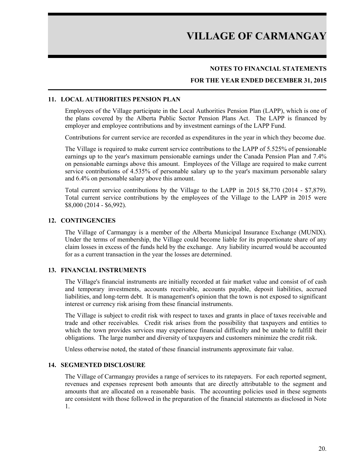### **NOTES TO FINANCIAL STATEMENTS**

### **FOR THE YEAR ENDED DECEMBER 31, 2015**

#### **11. LOCAL AUTHORITIES PENSION PLAN**

Employees of the Village participate in the Local Authorities Pension Plan (LAPP), which is one of the plans covered by the Alberta Public Sector Pension Plans Act. The LAPP is financed by employer and employee contributions and by investment earnings of the LAPP Fund.

Contributions for current service are recorded as expenditures in the year in which they become due.

The Village is required to make current service contributions to the LAPP of 5.525% of pensionable earnings up to the year's maximum pensionable earnings under the Canada Pension Plan and 7.4% on pensionable earnings above this amount. Employees of the Village are required to make current service contributions of 4.535% of personable salary up to the year's maximum personable salary and 6.4% on personable salary above this amount.

Total current service contributions by the Village to the LAPP in 2015 \$8,770 (2014 - \$7,879). Total current service contributions by the employees of the Village to the LAPP in 2015 were \$8,000 (2014 - \$6,992).

#### **12. CONTINGENCIES**

The Village of Carmangay is a member of the Alberta Municipal Insurance Exchange (MUNIX). Under the terms of membership, the Village could become liable for its proportionate share of any claim losses in excess of the funds held by the exchange. Any liability incurred would be accounted for as a current transaction in the year the losses are determined.

#### **13. FINANCIAL INSTRUMENTS**

The Village's financial instruments are initially recorded at fair market value and consist of of cash and temporary investments, accounts receivable, accounts payable, deposit liabilities, accrued liabilities, and long-term debt. It is management's opinion that the town is not exposed to significant interest or currency risk arising from these financial instruments.

The Village is subject to credit risk with respect to taxes and grants in place of taxes receivable and trade and other receivables. Credit risk arises from the possibility that taxpayers and entities to which the town provides services may experience financial difficulty and be unable to fulfill their obligations. The large number and diversity of taxpayers and customers minimize the credit risk.

Unless otherwise noted, the stated of these financial instruments approximate fair value.

#### **14. SEGMENTED DISCLOSURE**

The Village of Carmangay provides a range of services to its ratepayers. For each reported segment, revenues and expenses represent both amounts that are directly attributable to the segment and amounts that are allocated on a reasonable basis. The accounting policies used in these segments are consistent with those followed in the preparation of the financial statements as disclosed in Note 1.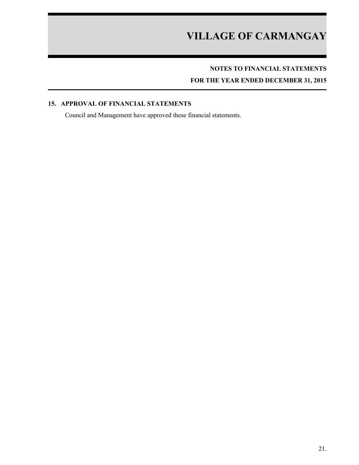# **NOTES TO FINANCIAL STATEMENTS**

**FOR THE YEAR ENDED DECEMBER 31, 2015**

## **15. APPROVAL OF FINANCIAL STATEMENTS**

Council and Management have approved these financial statements.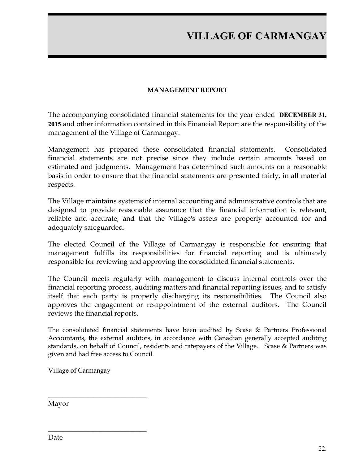# **MANAGEMENT REPORT**

The accompanying consolidated financial statements for the year ended **DECEMBER 31, 2015** and other information contained in this Financial Report are the responsibility of the management of the Village of Carmangay.

Management has prepared these consolidated financial statements. Consolidated financial statements are not precise since they include certain amounts based on estimated and judgments. Management has determined such amounts on a reasonable basis in order to ensure that the financial statements are presented fairly, in all material respects.

The Village maintains systems of internal accounting and administrative controls that are designed to provide reasonable assurance that the financial information is relevant, reliable and accurate, and that the Village's assets are properly accounted for and adequately safeguarded.

The elected Council of the Village of Carmangay is responsible for ensuring that management fulfills its responsibilities for financial reporting and is ultimately responsible for reviewing and approving the consolidated financial statements.

The Council meets regularly with management to discuss internal controls over the financial reporting process, auditing matters and financial reporting issues, and to satisfy itself that each party is properly discharging its responsibilities. The Council also approves the engagement or re-appointment of the external auditors. The Council reviews the financial reports.

The consolidated financial statements have been audited by Scase & Partners Professional Accountants, the external auditors, in accordance with Canadian generally accepted auditing standards, on behalf of Council, residents and ratepayers of the Village. Scase & Partners was given and had free access to Council.

Village of Carmangay

 $\overline{\phantom{a}}$  , where  $\overline{\phantom{a}}$  , where  $\overline{\phantom{a}}$  , where  $\overline{\phantom{a}}$ 

 $\overline{\phantom{a}}$  , where  $\overline{\phantom{a}}$  , where  $\overline{\phantom{a}}$  , where  $\overline{\phantom{a}}$ 

Mayor